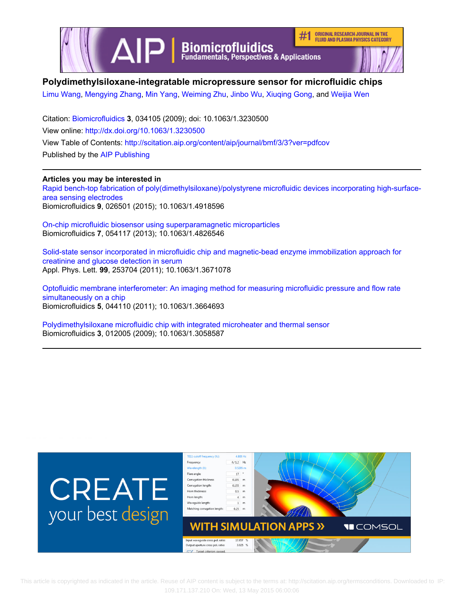

# **Polydimethylsiloxane-integratable micropressure sensor for microfluidic chips**

[Limu Wang,](http://scitation.aip.org/search?value1=Limu+Wang&option1=author) [Mengying Zhang,](http://scitation.aip.org/search?value1=Mengying+Zhang&option1=author) [Min Yang](http://scitation.aip.org/search?value1=Min+Yang&option1=author), [Weiming Zhu,](http://scitation.aip.org/search?value1=Weiming+Zhu&option1=author) [Jinbo Wu,](http://scitation.aip.org/search?value1=Jinbo+Wu&option1=author) [Xiuqing Gong](http://scitation.aip.org/search?value1=Xiuqing+Gong&option1=author), and [Weijia Wen](http://scitation.aip.org/search?value1=Weijia+Wen&option1=author)

Citation: [Biomicrofluidics](http://scitation.aip.org/content/aip/journal/bmf?ver=pdfcov) **3**, 034105 (2009); doi: 10.1063/1.3230500 View online: <http://dx.doi.org/10.1063/1.3230500> View Table of Contents: <http://scitation.aip.org/content/aip/journal/bmf/3/3?ver=pdfcov> Published by the [AIP Publishing](http://scitation.aip.org/content/aip?ver=pdfcov)

# **Articles you may be interested in**

[Rapid bench-top fabrication of poly\(dimethylsiloxane\)/polystyrene microfluidic devices incorporating high-surface](http://scitation.aip.org/content/aip/journal/bmf/9/2/10.1063/1.4918596?ver=pdfcov)[area sensing electrodes](http://scitation.aip.org/content/aip/journal/bmf/9/2/10.1063/1.4918596?ver=pdfcov) Biomicrofluidics **9**, 026501 (2015); 10.1063/1.4918596

[On-chip microfluidic biosensor using superparamagnetic microparticles](http://scitation.aip.org/content/aip/journal/bmf/7/5/10.1063/1.4826546?ver=pdfcov) Biomicrofluidics **7**, 054117 (2013); 10.1063/1.4826546

[Solid-state sensor incorporated in microfluidic chip and magnetic-bead enzyme immobilization approach for](http://scitation.aip.org/content/aip/journal/apl/99/25/10.1063/1.3671078?ver=pdfcov) [creatinine and glucose detection in serum](http://scitation.aip.org/content/aip/journal/apl/99/25/10.1063/1.3671078?ver=pdfcov) Appl. Phys. Lett. **99**, 253704 (2011); 10.1063/1.3671078

[Optofluidic membrane interferometer: An imaging method for measuring microfluidic pressure and flow rate](http://scitation.aip.org/content/aip/journal/bmf/5/4/10.1063/1.3664693?ver=pdfcov) [simultaneously on a chip](http://scitation.aip.org/content/aip/journal/bmf/5/4/10.1063/1.3664693?ver=pdfcov) Biomicrofluidics **5**, 044110 (2011); 10.1063/1.3664693

[Polydimethylsiloxane microfluidic chip with integrated microheater and thermal sensor](http://scitation.aip.org/content/aip/journal/bmf/3/1/10.1063/1.3058587?ver=pdfcov) Biomicrofluidics **3**, 012005 (2009); 10.1063/1.3058587

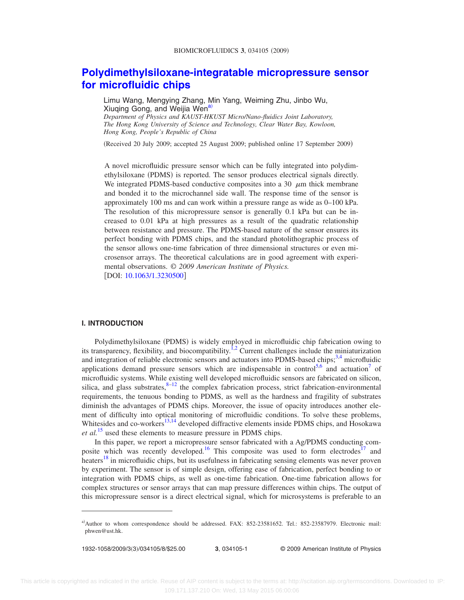# **[Polydimethylsiloxane-integratable micropressure sensor](http://dx.doi.org/10.1063/1.3230500) [for microfluidic chips](http://dx.doi.org/10.1063/1.3230500)**

Limu Wang, Mengying Zhang, Min Yang, Weiming Zhu, Jinbo Wu, Xiuqing Gong, and Weijia Wen<sup>a</sup> *Department of Physics and KAUST-HKUST Micro/Nano-fluidics Joint Laboratory,*

*The Hong Kong University of Science and Technology, Clear Water Bay, Kowloon, Hong Kong, People's Republic of China*

Received 20 July 2009; accepted 25 August 2009; published online 17 September 2009-

A novel microfluidic pressure sensor which can be fully integrated into polydimethylsiloxane (PDMS) is reported. The sensor produces electrical signals directly. We integrated PDMS-based conductive composites into a 30  $\mu$ m thick membrane and bonded it to the microchannel side wall. The response time of the sensor is approximately 100 ms and can work within a pressure range as wide as 0–100 kPa. The resolution of this micropressure sensor is generally 0.1 kPa but can be increased to 0.01 kPa at high pressures as a result of the quadratic relationship between resistance and pressure. The PDMS-based nature of the sensor ensures its perfect bonding with PDMS chips, and the standard photolithographic process of the sensor allows one-time fabrication of three dimensional structures or even microsensor arrays. The theoretical calculations are in good agreement with experimental observations. © *2009 American Institute of Physics.* [DOI: [10.1063/1.3230500](http://dx.doi.org/10.1063/1.3230500)]

## **I. INTRODUCTION**

Polydimethylsiloxane (PDMS) is widely employed in microfluidic chip fabrication owing to its transparency, flexibility, and biocompatibility.<sup>1[,2](#page-7-1)</sup> Current challenges include the miniaturization and integration of reliable electronic sensors and actuators into PDMS-based chips; $3,4$  $3,4$  microfluidic applications demand pressure sensors which are indispensable in control<sup>5[,6](#page-7-5)</sup> and actuation<sup>7</sup> of microfluidic systems. While existing well developed microfluidic sensors are fabricated on silicon, silica, and glass substrates,  $8-12$  $8-12$  the complex fabrication process, strict fabrication-environmental requirements, the tenuous bonding to PDMS, as well as the hardness and fragility of substrates diminish the advantages of PDMS chips. Moreover, the issue of opacity introduces another element of difficulty into optical monitoring of microfluidic conditions. To solve these problems, Whitesides and co-workers<sup>13,[14](#page-7-10)</sup> developed diffractive elements inside PDMS chips, and Hosokawa *et al.*[15](#page-8-0) used these elements to measure pressure in PDMS chips.

In this paper, we report a micropressure sensor fabricated with a Ag/PDMS conducting composite which was recently developed.<sup>16</sup> This composite was used to form electrodes<sup>17</sup> and heaters<sup>[18](#page-8-3)</sup> in microfluidic chips, but its usefulness in fabricating sensing elements was never proven by experiment. The sensor is of simple design, offering ease of fabrication, perfect bonding to or integration with PDMS chips, as well as one-time fabrication. One-time fabrication allows for complex structures or sensor arrays that can map pressure differences within chips. The output of this micropressure sensor is a direct electrical signal, which for microsystems is preferable to an

1932-1058/2009/3(3)/034105/8/\$25.00

3, 034105-1 © 2009 American Institute of Physics

<span id="page-1-0"></span>a)Author to whom correspondence should be addressed. FAX: 852-23581652. Tel.: 852-23587979. Electronic mail: phwen@ust.hk.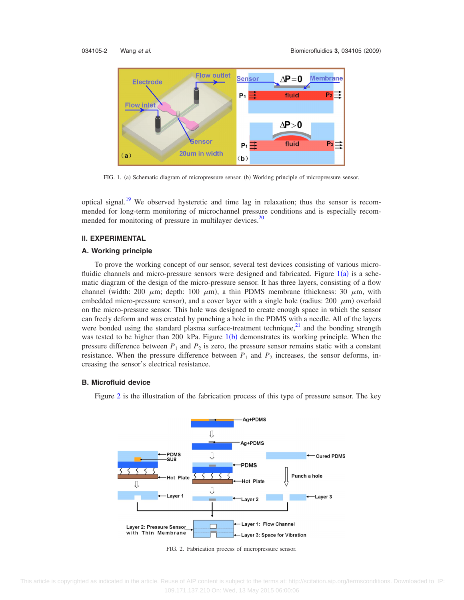<span id="page-2-0"></span>

FIG. 1. (a) Schematic diagram of micropressure sensor. (b) Working principle of micropressure sensor.

optical signal.<sup>19</sup> We observed hysteretic and time lag in relaxation; thus the sensor is recommended for long-term monitoring of microchannel pressure conditions and is especially recommended for monitoring of pressure in multilayer devices.<sup>20</sup>

### **II. EXPERIMENTAL**

#### **A. Working principle**

To prove the working concept of our sensor, several test devices consisting of various microfluidic channels and micro-pressure sensors were designed and fabricated. Figure  $1(a)$  $1(a)$  is a schematic diagram of the design of the micro-pressure sensor. It has three layers, consisting of a flow channel (width: 200  $\mu$ m; depth: 100  $\mu$ m), a thin PDMS membrane (thickness: 30  $\mu$ m, with embedded micro-pressure sensor), and a cover layer with a single hole (radius: 200  $\mu$ m) overlaid on the micro-pressure sensor. This hole was designed to create enough space in which the sensor can freely deform and was created by punching a hole in the PDMS with a needle. All of the layers were bonded using the standard plasma surface-treatment technique, $2<sup>1</sup>$  and the bonding strength was tested to be higher than 200 kPa. Figure  $1(b)$  $1(b)$  demonstrates its working principle. When the pressure difference between  $P_1$  and  $P_2$  is zero, the pressure sensor remains static with a constant resistance. When the pressure difference between  $P_1$  and  $P_2$  increases, the sensor deforms, increasing the sensor's electrical resistance.

## <span id="page-2-1"></span>**B. Microfluid device**

Figure [2](#page-2-1) is the illustration of the fabrication process of this type of pressure sensor. The key



FIG. 2. Fabrication process of micropressure sensor.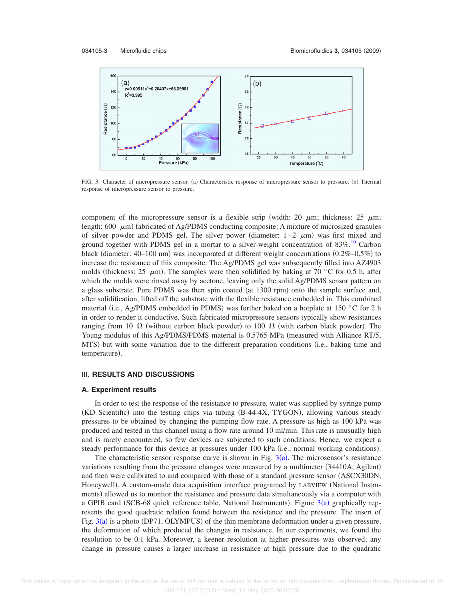<span id="page-3-0"></span>

FIG. 3. Character of micropressure sensor. (a) Characteristic response of micropressure sensor to pressure. (b) Thermal response of micropressure sensor to pressure.

component of the micropressure sensor is a flexible strip (width: 20  $\mu$ m; thickness: 25  $\mu$ m; length: 600  $\mu$ m) fabricated of Ag/PDMS conducting composite: A mixture of microsized granules of silver powder and PDMS gel. The silver power (diameter:  $1-2$   $\mu$ m) was first mixed and ground together with PDMS gel in a mortar to a silver-weight concentration of 83%.<sup>16</sup> Carbon black (diameter:  $40-100$  nm) was incorporated at different weight concentrations  $(0.2\% - 0.5\%)$  to increase the resistance of this composite. The Ag/PDMS gel was subsequently filled into AZ4903 molds (thickness: 25  $\mu$ m). The samples were then solidified by baking at 70 °C for 0.5 h, after which the molds were rinsed away by acetone, leaving only the solid Ag/PDMS sensor pattern on a glass substrate. Pure PDMS was then spin coated (at 1300 rpm) onto the sample surface and, after solidification, lifted off the substrate with the flexible resistance embedded in. This combined material (i.e., Ag/PDMS embedded in PDMS) was further baked on a hotplate at 150 °C for 2 h in order to render it conductive. Such fabricated micropressure sensors typically show resistances ranging from 10  $\Omega$  (without carbon black powder) to 100  $\Omega$  (with carbon black powder). The Young modulus of this Ag/PDMS/PDMS material is  $0.5765$  MPa (measured with Alliance RT/5, MTS) but with some variation due to the different preparation conditions (i.e., baking time and temperature).

# **III. RESULTS AND DISCUSSIONS**

#### **A. Experiment results**

In order to test the response of the resistance to pressure, water was supplied by syringe pump (KD Scientific) into the testing chips via tubing (B-44-4X, TYGON), allowing various steady pressures to be obtained by changing the pumping flow rate. A pressure as high as 100 kPa was produced and tested in this channel using a flow rate around 10 ml/min. This rate is unusually high and is rarely encountered, so few devices are subjected to such conditions. Hence, we expect a steady performance for this device at pressures under 100 kPa (i.e., normal working conditions).

The characteristic sensor response curve is shown in Fig.  $3(a)$  $3(a)$ . The microsensor's resistance variations resulting from the pressure changes were measured by a multimeter (34410A, Agilent) and then were calibrated to and compared with those of a standard pressure sensor ASCX30DN, Honeywell). A custom-made data acquisition interface programed by LABVIEW (National Instruments) allowed us to monitor the resistance and pressure data simultaneously via a computer with a GPIB card (SCB-68 quick reference table, National Instruments). Figure  $3(a)$  $3(a)$  graphically represents the good quadratic relation found between the resistance and the pressure. The insert of Fig.  $3(a)$  $3(a)$  is a photo (DP71, OLYMPUS) of the thin membrane deformation under a given pressure, the deformation of which produced the changes in resistance. In our experiments, we found the resolution to be 0.1 kPa. Moreover, a keener resolution at higher pressures was observed; any change in pressure causes a larger increase in resistance at high pressure due to the quadratic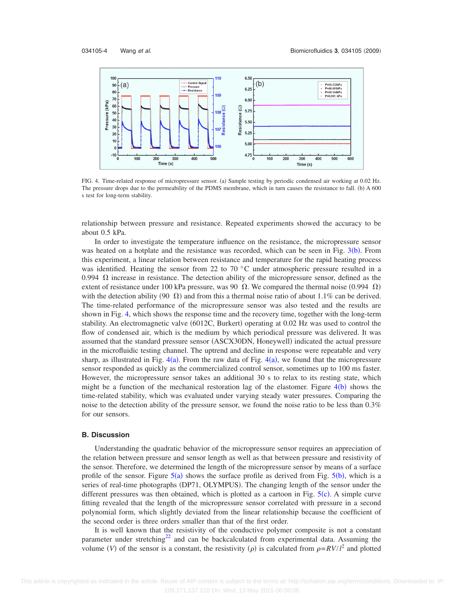<span id="page-4-0"></span>

FIG. 4. Time-related response of micropressure sensor. (a) Sample testing by periodic condensed air working at 0.02 Hz. The pressure drops due to the permeability of the PDMS membrane, which in turn causes the resistance to fall. (b) A 600 s test for long-term stability.

relationship between pressure and resistance. Repeated experiments showed the accuracy to be about 0.5 kPa.

In order to investigate the temperature influence on the resistance, the micropressure sensor was heated on a hotplate and the resistance was recorded, which can be seen in Fig.  $3(b)$  $3(b)$ . From this experiment, a linear relation between resistance and temperature for the rapid heating process was identified. Heating the sensor from 22 to 70 °C under atmospheric pressure resulted in a 0.994  $\Omega$  increase in resistance. The detection ability of the micropressure sensor, defined as the extent of resistance under 100 kPa pressure, was 90  $\Omega$ . We compared the thermal noise (0.994  $\Omega$ ) with the detection ability (90  $\Omega$ ) and from this a thermal noise ratio of about 1.1% can be derived. The time-related performance of the micropressure sensor was also tested and the results are shown in Fig. [4,](#page-4-0) which shows the response time and the recovery time, together with the long-term stability. An electromagnetic valve (6012C, Burkert) operating at 0.02 Hz was used to control the flow of condensed air, which is the medium by which periodical pressure was delivered. It was assumed that the standard pressure sensor (ASCX30DN, Honeywell) indicated the actual pressure in the microfluidic testing channel. The uptrend and decline in response were repeatable and very sharp, as illustrated in Fig.  $4(a)$  $4(a)$ . From the raw data of Fig.  $4(a)$ , we found that the micropressure sensor responded as quickly as the commercialized control sensor, sometimes up to 100 ms faster. However, the micropressure sensor takes an additional 30 s to relax to its resting state, which might be a function of the mechanical restoration lag of the elastomer. Figure  $4(b)$  $4(b)$  shows the time-related stability, which was evaluated under varying steady water pressures. Comparing the noise to the detection ability of the pressure sensor, we found the noise ratio to be less than 0.3% for our sensors.

#### **B. Discussion**

Understanding the quadratic behavior of the micropressure sensor requires an appreciation of the relation between pressure and sensor length as well as that between pressure and resistivity of the sensor. Therefore, we determined the length of the micropressure sensor by means of a surface profile of the sensor. Figure  $5(a)$  $5(a)$  shows the surface profile as derived from Fig.  $5(b)$ , which is a series of real-time photographs (DP71, OLYMPUS). The changing length of the sensor under the different pressures was then obtained, which is plotted as a cartoon in Fig.  $5(c)$  $5(c)$ . A simple curve fitting revealed that the length of the micropressure sensor correlated with pressure in a second polynomial form, which slightly deviated from the linear relationship because the coefficient of the second order is three orders smaller than that of the first order.

It is well known that the resistivity of the conductive polymer composite is not a constant parameter under stretching<sup>22</sup> and can be backcalculated from experimental data. Assuming the volume (V) of the sensor is a constant, the resistivity ( $\rho$ ) is calculated from  $\rho = RV/l^2$  and plotted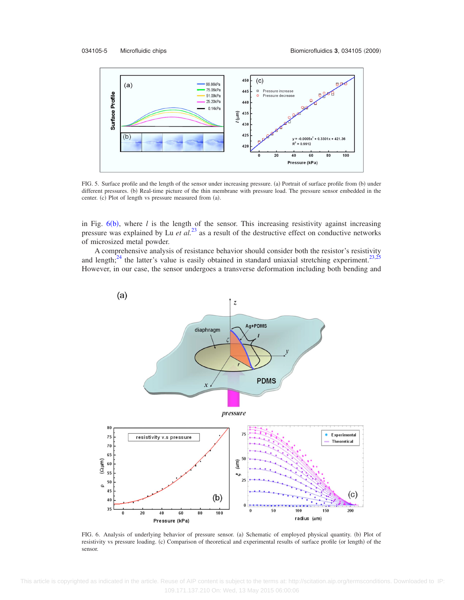<span id="page-5-0"></span>

FIG. 5. Surface profile and the length of the sensor under increasing pressure. (a) Portrait of surface profile from (b) under different pressures. (b) Real-time picture of the thin membrane with pressure load. The pressure sensor embedded in the center. (c) Plot of length vs pressure measured from (a).

in Fig.  $6(b)$  $6(b)$ , where *l* is the length of the sensor. This increasing resistivity against increasing pressure was explained by Lu *et al.*[23](#page-8-8) as a result of the destructive effect on conductive networks of microsized metal powder.

A comprehensive analysis of resistance behavior should consider both the resistor's resistivity and length;<sup>24</sup> the latter's value is easily obtained in standard uniaxial stretching experiment.<sup>23[,25](#page-8-10)</sup> However, in our case, the sensor undergoes a transverse deformation including both bending and

<span id="page-5-1"></span>

FIG. 6. Analysis of underlying behavior of pressure sensor. (a) Schematic of employed physical quantity. (b) Plot of resistivity vs pressure loading. (c) Comparison of theoretical and experimental results of surface profile (or length) of the sensor.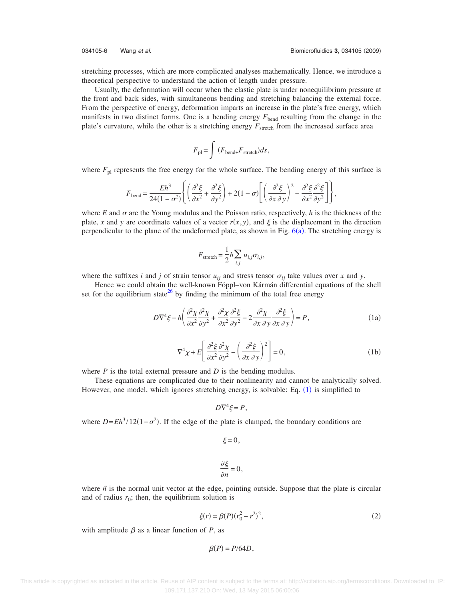stretching processes, which are more complicated analyses mathematically. Hence, we introduce a theoretical perspective to understand the action of length under pressure.

Usually, the deformation will occur when the elastic plate is under nonequilibrium pressure at the front and back sides, with simultaneous bending and stretching balancing the external force. From the perspective of energy, deformation imparts an increase in the plate's free energy, which manifests in two distinct forms. One is a bending energy  $F_{\text{bend}}$  resulting from the change in the plate's curvature, while the other is a stretching energy  $F_{\text{stretch}}$  from the increased surface area

$$
F_{\rm pl} = \int \left( F_{\rm bend+} F_{\rm stretch} \right) ds,
$$

where  $F_{\text{pl}}$  represents the free energy for the whole surface. The bending energy of this surface is

$$
F_{\text{bend}} = \frac{Eh^3}{24(1-\sigma^2)} \left\{ \left( \frac{\partial^2 \xi}{\partial x^2} + \frac{\partial^2 \xi}{\partial y^2} \right) + 2(1-\sigma) \left[ \left( \frac{\partial^2 \xi}{\partial x \partial y} \right)^2 - \frac{\partial^2 \xi}{\partial x^2} \frac{\partial^2 \xi}{\partial y^2} \right] \right\},\,
$$

where *E* and  $\sigma$  are the Young modulus and the Poisson ratio, respectively, *h* is the thickness of the plate, x and y are coordinate values of a vector  $r(x, y)$ , and  $\xi$  is the displacement in the direction perpendicular to the plane of the undeformed plate, as shown in Fig.  $6(a)$  $6(a)$ . The stretching energy is

$$
F_{\text{stretch}} = \frac{1}{2} h \sum_{i,j} u_{i,j} \sigma_{i,j},
$$

where the suffixes *i* and *j* of strain tensor  $u_{ij}$  and stress tensor  $\sigma_{ij}$  take values over *x* and *y*.

<span id="page-6-0"></span>Hence we could obtain the well-known Föppl–von Kármán differential equations of the shell set for the equilibrium state<sup>26</sup> by finding the minimum of the total free energy

$$
D\nabla^4 \xi - h \left( \frac{\partial^2 \chi}{\partial x^2} \frac{\partial^2 \chi}{\partial y^2} + \frac{\partial^2 \chi}{\partial x^2} \frac{\partial^2 \xi}{\partial y^2} - 2 \frac{\partial^2 \chi}{\partial x \partial y} \frac{\partial^2 \xi}{\partial x \partial y} \right) = P,
$$
 (1a)

$$
\nabla^4 \chi + E \left[ \frac{\partial^2 \xi}{\partial x^2} \frac{\partial^2 \chi}{\partial y^2} - \left( \frac{\partial^2 \xi}{\partial x \partial y} \right)^2 \right] = 0, \tag{1b}
$$

where *P* is the total external pressure and *D* is the bending modulus.

These equations are complicated due to their nonlinearity and cannot be analytically solved. However, one model, which ignores stretching energy, is solvable: Eq.  $(1)$  $(1)$  $(1)$  is simplified to

$$
D\nabla^4 \xi = P,
$$

where  $D = Eh^3/12(1 - \sigma^2)$ . If the edge of the plate is clamped, the boundary conditions are

$$
\xi = 0,
$$
  

$$
\frac{\partial \xi}{\partial n} = 0,
$$

<span id="page-6-1"></span>where  $\vec{n}$  is the normal unit vector at the edge, pointing outside. Suppose that the plate is circular and of radius  $r_0$ ; then, the equilibrium solution is

$$
\xi(r) = \beta(P)(r_0^2 - r^2)^2,\tag{2}
$$

with amplitude  $\beta$  as a linear function of *P*, as

$$
\beta(P) = P/64D,
$$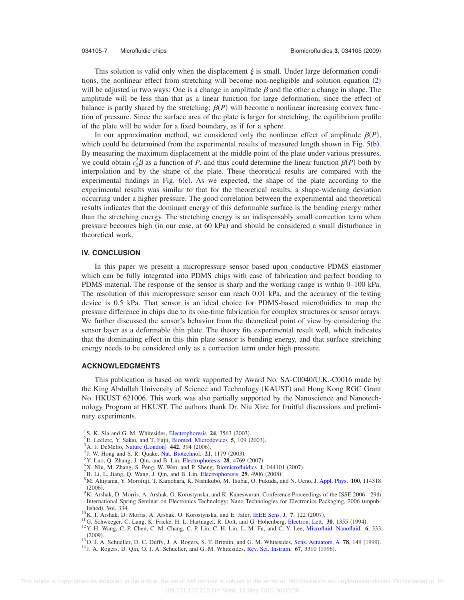This solution is valid only when the displacement  $\xi$  is small. Under large deformation condi-tions, the nonlinear effect from stretching will become non-negligible and solution equation ([2](#page-6-1)) will be adjusted in two ways: One is a change in amplitude  $\beta$  and the other a change in shape. The amplitude will be less than that as a linear function for large deformation, since the effect of balance is partly shared by the stretching;  $\beta(P)$  will become a nonlinear increasing convex function of pressure. Since the surface area of the plate is larger for stretching, the equilibrium profile of the plate will be wider for a fixed boundary, as if for a sphere.

In our approximation method, we considered only the nonlinear effect of amplitude  $\beta(P)$ , which could be determined from the experimental results of measured length shown in Fig.  $5(b)$  $5(b)$ . By measuring the maximum displacement at the middle point of the plate under various pressures, we could obtain  $r_0^2 \beta$  as a function of *P*, and thus could determine the linear function  $\beta(P)$  both by interpolation and by the shape of the plate. These theoretical results are compared with the experimental findings in Fig.  $6(c)$  $6(c)$ . As we expected, the shape of the plate according to the experimental results was similar to that for the theoretical results, a shape-widening deviation occurring under a higher pressure. The good correlation between the experimental and theoretical results indicates that the dominant energy of this deformable surface is the bending energy rather than the stretching energy. The stretching energy is an indispensably small correction term when pressure becomes high (in our case, at 60 kPa) and should be considered a small disturbance in theoretical work.

#### **IV. CONCLUSION**

In this paper we present a micropressure sensor based upon conductive PDMS elastomer which can be fully integrated into PDMS chips with ease of fabrication and perfect bonding to PDMS material. The response of the sensor is sharp and the working range is within 0–100 kPa. The resolution of this micropressure sensor can reach 0.01 kPa, and the accuracy of the testing device is 0.5 kPa. That sensor is an ideal choice for PDMS-based microfluidics to map the pressure difference in chips due to its one-time fabrication for complex structures or sensor arrays. We further discussed the sensor's behavior from the theoretical point of view by considering the sensor layer as a deformable thin plate. The theory fits experimental result well, which indicates that the dominating effect in this thin plate sensor is bending energy, and that surface stretching energy needs to be considered only as a correction term under high pressure.

## **ACKNOWLEDGMENTS**

This publication is based on work supported by Award No. SA-C0040/U.K.-C0016 made by the King Abdullah University of Science and Technology (KAUST) and Hong Kong RGC Grant No. HKUST 621006. This work was also partially supported by the Nanoscience and Nanotechnology Program at HKUST. The authors thank Dr. Niu Xize for fruitful discussions and preliminary experiments.

- <span id="page-7-3"></span><span id="page-7-2"></span><span id="page-7-1"></span><span id="page-7-0"></span><sup>1</sup> S. K. Sia and G. M. Whitesides, [Electrophoresis](http://dx.doi.org/10.1002/elps.200305584) **24**, 3563 (2003).
- <sup>2</sup>E. Leclerc, Y. Sakai, and T. Fujii, [Biomed. Microdevices](http://dx.doi.org/10.1023/A:1024583026925) **5**, 109 (2003).
- <span id="page-7-5"></span><span id="page-7-4"></span><sup>3</sup> A. J. DeMello, Nature ([London](http://dx.doi.org/10.1038/nature05062))  $\frac{442}{1}$ , 394 (2006).
- <sup>4</sup> J. W. Hong and S. R. Quake, [Nat. Biotechnol.](http://dx.doi.org/10.1038/nbt871) **21**, 1179 (2003).
- <span id="page-7-6"></span><sup>5</sup> Y. Luo, Q. Zhang, J. Qin, and B. Lin, [Electrophoresis](http://dx.doi.org/10.1002/elps.200700330) **28**, 4769 (2007).
- <span id="page-7-7"></span><sup>6</sup>X. Niu, M. Zhang, S. Peng, W. Wen, and P. Sheng, [Biomicrofluidics](http://dx.doi.org/10.1063/1.2795392) **1**, 044101 (2007).
- <sup>7</sup> B. Li, L. Jiang, Q. Wang, J. Qin, and B. Lin, [Electrophoresis](http://dx.doi.org/10.1002/elps.200800336) **29**, 4906 (2008).
- M. Akiyama, Y. Morofuji, T. Kamohara, K. Nishikubo, M. Tsubai, O. Fukuda, and N. Ueno, [J. Appl. Phys.](http://dx.doi.org/10.1063/1.2401312) **100**, 114318  $(2006)$ (2006).<br><sup>9</sup> K. Arshak, D. Morris, A. Arshak, O. Korostynska, and K. Kaneswaran, Conference Proceedings of the ISSE 2006 - 29th

International Spring Seminar on Electronics Technology: Nano Technologies for Electronics Packaging, 2006 unpublished), Vol.  $334$ .

- <span id="page-7-8"></span><sup>10</sup>K. I. Arshak, D. Morris, A. Arshak, O. Korostynska, and E. Jafer, [IEEE Sens. J.](http://dx.doi.org/10.1109/JSEN.2006.886879) 7, 122 (2007).
- <sup>11</sup>G. Schweeger, C. Lang, K. Fricke, H. L. Hartnagel, R. Dolt, and G. Hohenberg, [Electron. Lett.](http://dx.doi.org/10.1049/el:19940910) **30**, 1355 (1994).
- <span id="page-7-10"></span><span id="page-7-9"></span><sup>12</sup> Y.-H. Wang, C.-P. Chen, C.-M. Chang, C.-P. Lin, C.-H. Lin, L.-M. Fu, and C.-Y. Lee, [Microfluid. Nanofluid.](http://dx.doi.org/10.1007/s10404-008-0383-4) **6**, 333  $(2009).$ . 13O. J. A. Schueller, D. C. Duffy, J. A. Rogers, S. T. Brittain, and G. M. Whitesides, [Sens. Actuators, A](http://dx.doi.org/10.1016/S0924-4247(98)00242-8) **<sup>78</sup>**, 149 1999-

<sup>13</sup>O. J. A. Schueller, D. C. Duffy, J. A. Rogers, S. T. Brittain, and G. M. Whitesides, Sens. Actuators, A 78, 149 (1999).<br><sup>14</sup> J. A. Rogers, D. Qin, O. J. A. Schueller, and G. M. Whitesides, [Rev. Sci. Instrum.](http://dx.doi.org/10.1063/1.1147413) **67**, 3310

 $^{14}$  J. A. Rogers, D. Qin, O. J. A. Schueller, and G. M. Whitesides, Rev. Sci. Instrum. 67, 3310 (1996).